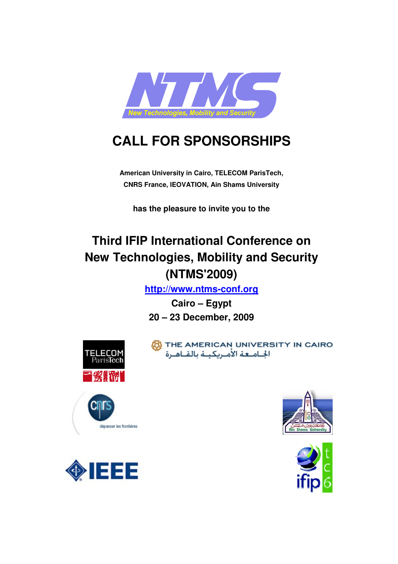

# **CALL FOR SPONSORSHIPS**

**American University in Cairo, TELECOM ParisTech, CNRS France, IEOVATION, Ain Shams University** 

**has the pleasure to invite you to the** 

## **Third IFIP International Conference on New Technologies, Mobility and Security (NTMS'2009)**

**http://www.ntms-conf.org**

**Cairo – Egypt 20 – 23 December, 2009** 



THE AMERICAN UNIVERSITY IN CAIRO 







dépasser les frontières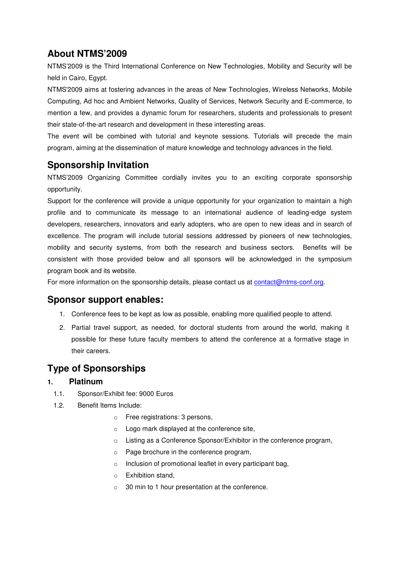## **About NTMS'2009**

NTMS'2009 is the Third International Conference on New Technologies, Mobility and Security will be held in Cairo, Egypt.

NTMS'2009 aims at fostering advances in the areas of New Technologies, Wireless Networks, Mobile Computing, Ad hoc and Ambient Networks, Quality of Services, Network Security and E-commerce, to mention a few, and provides a dynamic forum for researchers, students and professionals to present their state-of-the-art research and development in these interesting areas.

The event will be combined with tutorial and keynote sessions. Tutorials will precede the main program, aiming at the dissemination of mature knowledge and technology advances in the field.

## **Sponsorship Invitation**

NTMS'2009 Organizing Committee cordially invites you to an exciting corporate sponsorship opportunity.

Support for the conference will provide a unique opportunity for your organization to maintain a high profile and to communicate its message to an international audience of leading-edge system developers, researchers, innovators and early adopters, who are open to new ideas and in search of excellence. The program will include tutorial sessions addressed by pioneers of new technologies, mobility and security systems, from both the research and business sectors. Benefits will be consistent with those provided below and all sponsors will be acknowledged in the symposium program book and its website.

For more information on the sponsorship details, please contact us at contact@ntms-conf.org.

### **Sponsor support enables:**

- 1. Conference fees to be kept as low as possible, enabling more qualified people to attend.
- 2. Partial travel support, as needed, for doctoral students from around the world, making it possible for these future faculty members to attend the conference at a formative stage in their careers.

## **Type of Sponsorships**

#### **1. Platinum**

- 1.1. Sponsor/Exhibit fee: 9000 Euros
- 1.2. Benefit Items Include:
	- o Free registrations: 3 persons,
	- o Logo mark displayed at the conference site,
	- o Listing as a Conference Sponsor/Exhibitor in the conference program,
	- o Page brochure in the conference program,
	- o Inclusion of promotional leaflet in every participant bag,
	- o Exhibition stand,
	- o 30 min to 1 hour presentation at the conference.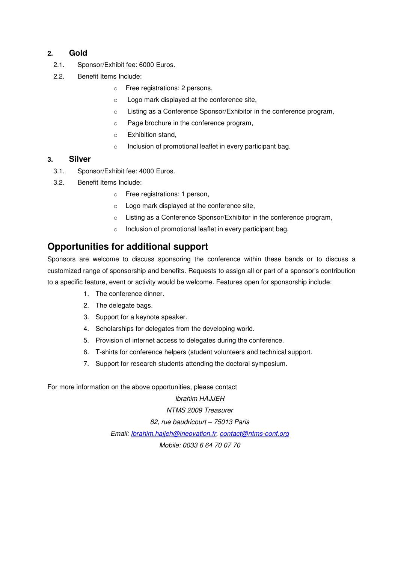#### **2. Gold**

- 2.1. Sponsor/Exhibit fee: 6000 Euros.
- 2.2. Benefit Items Include:
	- o Free registrations: 2 persons,
	- o Logo mark displayed at the conference site,
	- o Listing as a Conference Sponsor/Exhibitor in the conference program,
	- o Page brochure in the conference program,
	- o Exhibition stand,
	- o Inclusion of promotional leaflet in every participant bag.

#### **3. Silver**

- 3.1. Sponsor/Exhibit fee: 4000 Euros.
- 3.2. Benefit Items Include:
	- o Free registrations: 1 person,
	- o Logo mark displayed at the conference site,
	- o Listing as a Conference Sponsor/Exhibitor in the conference program,
	- o Inclusion of promotional leaflet in every participant bag.

## **Opportunities for additional support**

Sponsors are welcome to discuss sponsoring the conference within these bands or to discuss a customized range of sponsorship and benefits. Requests to assign all or part of a sponsor's contribution to a specific feature, event or activity would be welcome. Features open for sponsorship include:

- 1. The conference dinner.
- 2. The delegate bags.
- 3. Support for a keynote speaker.
- 4. Scholarships for delegates from the developing world.
- 5. Provision of internet access to delegates during the conference.
- 6. T-shirts for conference helpers (student volunteers and technical support.
- 7. Support for research students attending the doctoral symposium.

For more information on the above opportunities, please contact

Ibrahim HAJJEH

NTMS 2009 Treasurer 82, rue baudricourt – 75013 Paris Email: Ibrahim.hajjeh@ineovation.fr, contact@ntms-conf.org Mobile: 0033 6 64 70 07 70